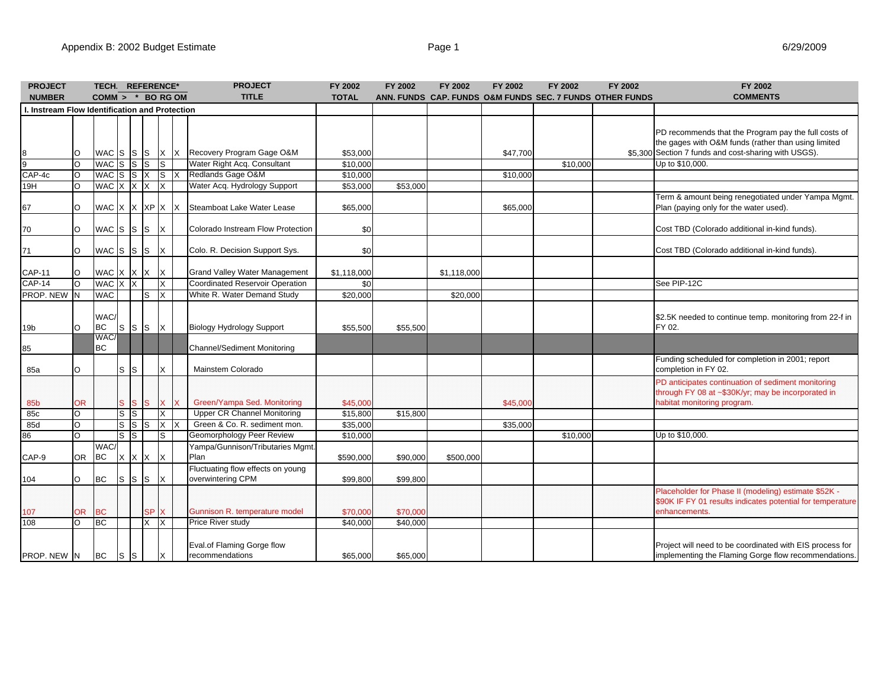| 6/29/2009 |
|-----------|
|-----------|

| <b>PROJECT</b>                                 |                           | TECH. REFERENCE*   |                       |                  |                 |                | <b>PROJECT</b>                                                         | FY 2002              | FY 2002  | FY 2002     | FY 2002  | FY 2002  | FY 2002                                                  | FY 2002                                                                                                                                 |
|------------------------------------------------|---------------------------|--------------------|-----------------------|------------------|-----------------|----------------|------------------------------------------------------------------------|----------------------|----------|-------------|----------|----------|----------------------------------------------------------|-----------------------------------------------------------------------------------------------------------------------------------------|
| <b>NUMBER</b>                                  |                           | $COMM > * BORGOM$  |                       |                  |                 |                | <b>TITLE</b>                                                           | <b>TOTAL</b>         |          |             |          |          | ANN. FUNDS CAP. FUNDS O&M FUNDS SEC. 7 FUNDS OTHER FUNDS | <b>COMMENTS</b>                                                                                                                         |
| I. Instream Flow Identification and Protection |                           |                    |                       |                  |                 |                |                                                                        |                      |          |             |          |          |                                                          |                                                                                                                                         |
|                                                |                           |                    |                       |                  |                 |                |                                                                        |                      |          |             |          |          |                                                          | PD recommends that the Program pay the full costs of<br>the gages with O&M funds (rather than using limited                             |
| 8<br>9                                         | $\circ$<br>$\overline{O}$ |                    |                       |                  |                 |                | WAC S S S X X Recovery Program Gage O&M<br>Water Right Acq. Consultant | \$53,000<br>\$10,000 |          |             | \$47,700 |          |                                                          | \$5,300 Section 7 funds and cost-sharing with USGS).<br>Up to \$10,000.                                                                 |
|                                                | $\circ$                   | WACSSS<br>WACSSXSX |                       |                  |                 | ls             | Redlands Gage O&M                                                      | \$10,000             |          |             |          | \$10,000 |                                                          |                                                                                                                                         |
| CAP-4c<br>19H                                  | $\overline{O}$            | WAC X X X          |                       |                  |                 | $\overline{X}$ | Water Acq. Hydrology Support                                           | \$53,000             | \$53,000 |             | \$10,000 |          |                                                          |                                                                                                                                         |
|                                                |                           |                    |                       |                  |                 |                |                                                                        |                      |          |             |          |          |                                                          | Term & amount being renegotiated under Yampa Mgmt.                                                                                      |
| 67                                             | O                         |                    |                       |                  |                 |                | WAC X X XP X X Steamboat Lake Water Lease                              | \$65,000             |          |             | \$65,000 |          |                                                          | Plan (paying only for the water used).                                                                                                  |
| 70                                             | $\circ$                   | WACS SS            |                       |                  |                 | IX             | Colorado Instream Flow Protection                                      | \$0                  |          |             |          |          |                                                          | Cost TBD (Colorado additional in-kind funds).                                                                                           |
| 71                                             | O                         | WACS SS            |                       |                  |                 | IX             | Colo. R. Decision Support Sys.                                         | \$0                  |          |             |          |          |                                                          | Cost TBD (Colorado additional in-kind funds).                                                                                           |
| <b>CAP-11</b>                                  | $\circ$                   | WAC X X X          |                       |                  |                 | IX             | <b>Grand Valley Water Management</b>                                   | \$1,118,000          |          | \$1,118,000 |          |          |                                                          |                                                                                                                                         |
| <b>CAP-14</b>                                  | O                         | WAC X X            |                       |                  |                 | <b>X</b>       | Coordinated Reservoir Operation                                        | \$0                  |          |             |          |          |                                                          | See PIP-12C                                                                                                                             |
| PROP. NEW N                                    |                           | <b>WAC</b>         |                       |                  | Is              | $\mathsf{X}$   | White R. Water Demand Study                                            | \$20,000             |          | \$20,000    |          |          |                                                          |                                                                                                                                         |
| 19b                                            | $\Omega$                  | WAC/<br>BC         |                       |                  | $s$ $s$ $x$     |                | <b>Biology Hydrology Support</b>                                       | \$55,500             | \$55,500 |             |          |          |                                                          | \$2.5K needed to continue temp. monitoring from 22-f in<br>FY 02.                                                                       |
| 85                                             |                           | WAC/<br>ВC         |                       |                  |                 |                | <b>Channel/Sediment Monitoring</b>                                     |                      |          |             |          |          |                                                          |                                                                                                                                         |
| 85a                                            | $\circ$                   |                    | s Is                  |                  |                 | IX.            | Mainstem Colorado                                                      |                      |          |             |          |          |                                                          | Funding scheduled for completion in 2001; report<br>completion in FY 02.                                                                |
| 85b                                            | <b>OR</b>                 |                    |                       |                  | SSSX            |                | Green/Yampa Sed. Monitoring                                            | \$45,000             |          |             | \$45,000 |          |                                                          | PD anticipates continuation of sediment monitoring<br>through FY 08 at ~\$30K/yr; may be incorporated in<br>habitat monitoring program. |
| 85c                                            | O                         |                    | s s                   |                  |                 | X              | Upper CR Channel Monitoring                                            | $\overline{$15,800}$ | \$15,800 |             |          |          |                                                          |                                                                                                                                         |
| 85d                                            | O                         |                    |                       | $s \,  s \,  s $ |                 | $X$ $X$        | Green & Co. R. sediment mon.                                           | \$35,000             |          |             | \$35,000 |          |                                                          |                                                                                                                                         |
| 86                                             | $\circ$                   |                    | ls Is                 |                  |                 | ls.            | Geomorphology Peer Review                                              | \$10,000             |          |             |          | \$10,000 |                                                          | Up to \$10,000.                                                                                                                         |
| CAP-9                                          | <b>OR</b>                 | WAC/<br><b>BC</b>  |                       | X X X            |                 | $\mathsf{X}$   | Yampa/Gunnison/Tributaries Mgmt<br>Plan                                | \$590,000            | \$90,000 | \$500,000   |          |          |                                                          |                                                                                                                                         |
| 104                                            | O                         | <b>BC</b>          | $s \svert s \rvert s$ |                  |                 | $\mathsf{I}$   | Fluctuating flow effects on young<br>overwintering CPM                 | \$99,800             | \$99,800 |             |          |          |                                                          |                                                                                                                                         |
|                                                |                           |                    |                       |                  |                 |                |                                                                        |                      |          |             |          |          |                                                          | Placeholder for Phase II (modeling) estimate \$52K -<br>\$90K IF FY 01 results indicates potential for temperature                      |
| 107                                            | <b>OR</b>                 | <b>BC</b>          |                       |                  | SP <sub>X</sub> |                | Gunnison R. temperature model                                          | \$70,000             | \$70,000 |             |          |          |                                                          | enhancements.                                                                                                                           |
| 108                                            | $\circ$                   | <b>BC</b>          |                       |                  | X               | X              | Price River study                                                      | \$40.000             | \$40,000 |             |          |          |                                                          |                                                                                                                                         |
| PROP. NEW N                                    |                           | BC SS              |                       |                  |                 | $\times$       | Eval.of Flaming Gorge flow<br>recommendations                          | \$65,000             | \$65,000 |             |          |          |                                                          | Project will need to be coordinated with EIS process for<br>implementing the Flaming Gorge flow recommendations.                        |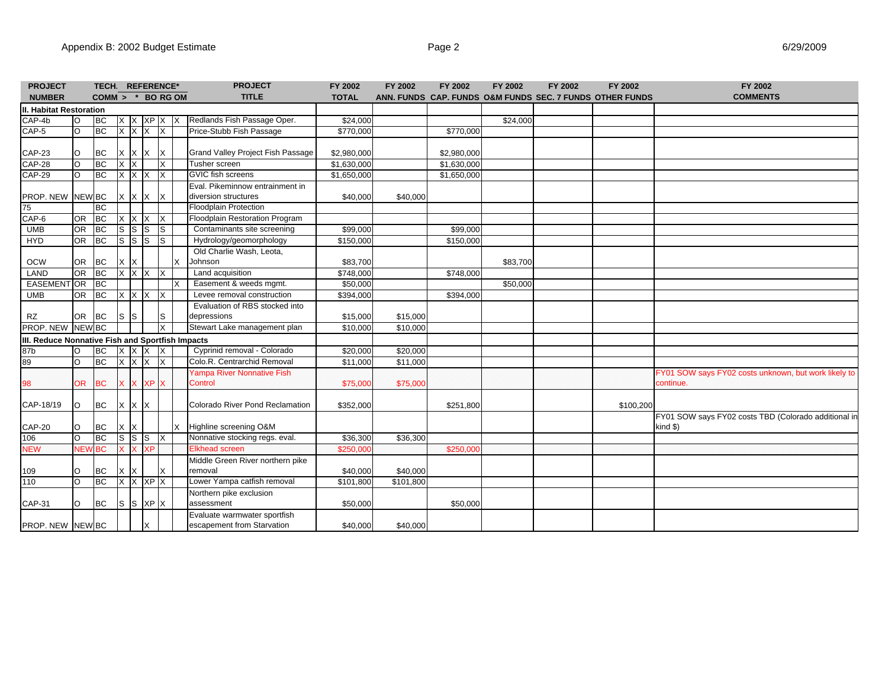CAP-18/19

 $O$  BC

106 O BC S S S

110 **O** BC X X XP X

 $CAP-31$  O BC S S XP

Highline screening O&M

Northern pike exclusion

Evaluate warmwater sportfish

removal

assessment

Middle Green River northern pike

Nonnative stocking regs. eval. \$36,300 \$36,300

Lower Yampa catfish removal  $$101,800$  \$101,800

escapement from Starvation  $$40,000$  \$40,000

Elkhead screen **6250,000** \$250,000 \$250,000 \$250,000

 $CAP-20$  O BC  $X$  X

**NEW NEW BC** 

109 O BC

PROP. NEW NEW BC

| <b>PROJECT</b>                                   |            | TECH. REFERENCE*  |                   |                     |     |    |               | <b>PROJECT</b>                                          | FY 2002      | FY 2002  | FY 2002     | FY 2002  | FY 2002 | FY 2002                                                  | FY 2002                                                           |
|--------------------------------------------------|------------|-------------------|-------------------|---------------------|-----|----|---------------|---------------------------------------------------------|--------------|----------|-------------|----------|---------|----------------------------------------------------------|-------------------------------------------------------------------|
| <b>NUMBER</b>                                    |            | $COMM > * BORGOM$ |                   |                     |     |    |               | <b>TITLE</b>                                            | <b>TOTAL</b> |          |             |          |         | ANN, FUNDS CAP, FUNDS O&M FUNDS SEC, 7 FUNDS OTHER FUNDS | <b>COMMENTS</b>                                                   |
| II. Habitat Restoration                          |            |                   |                   |                     |     |    |               |                                                         |              |          |             |          |         |                                                          |                                                                   |
| CAP-4b                                           |            | <b>BC</b>         |                   | $X$ $X$ $X$ $X$ $X$ |     |    |               | Redlands Fish Passage Oper.                             | \$24,000     |          |             | \$24,000 |         |                                                          |                                                                   |
| CAP-5                                            | lO.        | <b>BC</b>         |                   | X X X X             |     |    |               | Price-Stubb Fish Passage                                | \$770,000    |          | \$770,000   |          |         |                                                          |                                                                   |
| CAP-23                                           |            | BC                |                   | X X X X             |     |    |               | <b>Grand Valley Project Fish Passage</b>                | \$2,980,000  |          | \$2,980,000 |          |         |                                                          |                                                                   |
| <b>CAP-28</b>                                    | lo         | BC                | $\times$ $\times$ |                     |     | IX |               | Tusher screen                                           | \$1,630,000  |          | \$1,630,000 |          |         |                                                          |                                                                   |
| $CAP-29$                                         | lO.        | <b>BC</b>         |                   | X X X X             |     |    |               | <b>GVIC fish screens</b>                                | \$1,650,000  |          | \$1,650,000 |          |         |                                                          |                                                                   |
| PROP. NEW NEW BC                                 |            |                   |                   | $X$ $X$ $X$ $X$     |     |    |               | Eval. Pikeminnow entrainment in<br>diversion structures | \$40,000     | \$40,000 |             |          |         |                                                          |                                                                   |
| 75                                               |            | BC                |                   |                     |     |    |               | <b>Floodplain Protection</b>                            |              |          |             |          |         |                                                          |                                                                   |
| CAP-6                                            | <b>OR</b>  | <b>BC</b>         |                   | X X X X             |     |    |               | Floodplain Restoration Program                          |              |          |             |          |         |                                                          |                                                                   |
| UMB                                              | OR         | BC                |                   | $S$ $S$ $S$ $S$     |     |    |               | Contaminants site screening                             | \$99,000     |          | \$99,000    |          |         |                                                          |                                                                   |
| HYD                                              | OR.        | <b>BC</b>         |                   | ssssss              |     |    |               | Hydrology/geomorphology                                 | \$150,000    |          | \$150,000   |          |         |                                                          |                                                                   |
| OCW                                              | <b>OR</b>  | <b>BC</b>         | $\times$ $\times$ |                     |     |    | Johnson<br>ΙX | Old Charlie Wash, Leota,                                | \$83,700     |          |             | \$83,700 |         |                                                          |                                                                   |
| LAND                                             | OR         | <b>BC</b>         |                   | X X X X             |     |    |               | Land acquisition                                        | \$748,000    |          | \$748,000   |          |         |                                                          |                                                                   |
| <b>EASEMENT OR</b>                               |            | <b>BC</b>         |                   |                     |     |    |               | Easement & weeds mgmt.                                  | \$50,000     |          |             | \$50,000 |         |                                                          |                                                                   |
| <b>UMB</b>                                       | OR         | <b>BC</b>         |                   | X X X X             |     |    |               | Levee removal construction                              | \$394,000    |          | \$394,000   |          |         |                                                          |                                                                   |
| RZ                                               | OR.        | <b>BC</b>         | IS IS             |                     | Is. |    |               | Evaluation of RBS stocked into<br>depressions           | \$15,000     | \$15,000 |             |          |         |                                                          |                                                                   |
| PROP. NEW NEW BC                                 |            |                   |                   |                     |     | X  |               | Stewart Lake management plan                            | \$10,000     | \$10,000 |             |          |         |                                                          |                                                                   |
| III. Reduce Nonnative Fish and Sportfish Impacts |            |                   |                   |                     |     |    |               |                                                         |              |          |             |          |         |                                                          |                                                                   |
| 87b                                              | IО         | <b>BC</b>         |                   | $X$ $X$ $X$ $X$     |     |    |               | Cyprinid removal - Colorado                             | \$20,000     | \$20,000 |             |          |         |                                                          |                                                                   |
| 89                                               | lO         | BC                |                   | X X X X             |     |    |               | Colo.R. Centrarchid Removal                             | \$11,000     | \$11,000 |             |          |         |                                                          |                                                                   |
| 98                                               | <b>IOR</b> | BC                |                   | X X XP X            |     |    | Control       | Yampa River Nonnative Fish                              | \$75,000     | \$75,000 |             |          |         |                                                          | FY01 SOW says FY02 costs unknown, but work likely to<br>continue. |

Colorado River Pond Reclamation | \$352,000 \$251,800 \$251,800 \$100,200

\$50,000 \$50,000

\$40,000 \$40,000

FY01 SOW says FY02 costs TBD (Colorado additional in

kind \$)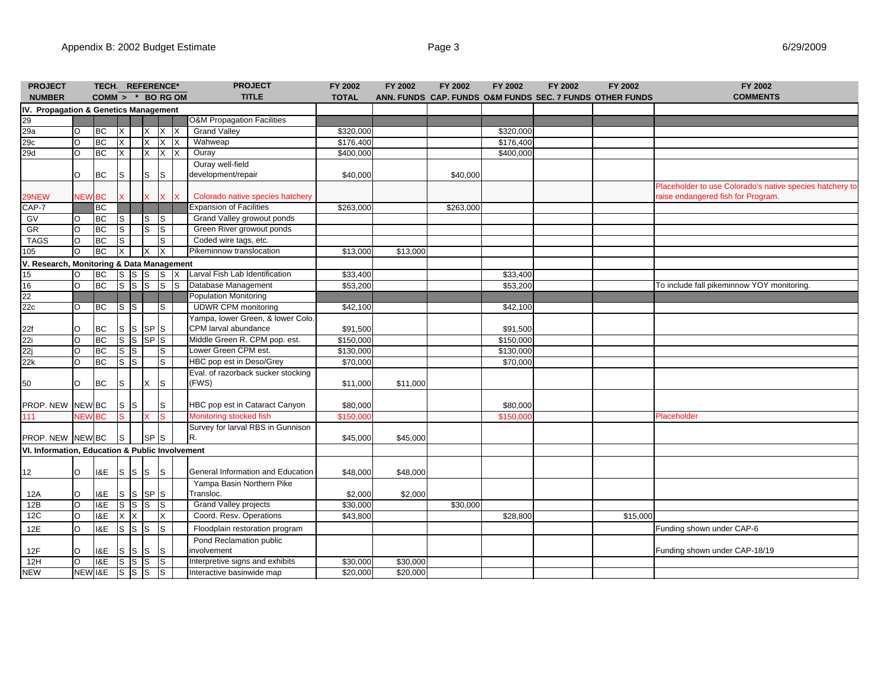| 6/29/2009 |
|-----------|
|-----------|

| <b>PROJECT</b><br><b>NUMBER</b>                 |                    | TECH. REFERENCE*<br>$COMM > * BORGOM$ |                           |                     |                         |    | <b>PROJECT</b><br><b>TITLE</b>        | FY 2002<br><b>TOTAL</b> | FY 2002  | FY 2002   | FY 2002   | FY 2002 | FY 2002<br>ANN. FUNDS CAP. FUNDS O&M FUNDS SEC. 7 FUNDS OTHER FUNDS | FY 2002<br><b>COMMENTS</b>                               |
|-------------------------------------------------|--------------------|---------------------------------------|---------------------------|---------------------|-------------------------|----|---------------------------------------|-------------------------|----------|-----------|-----------|---------|---------------------------------------------------------------------|----------------------------------------------------------|
| IV. Propagation & Genetics Management           |                    |                                       |                           |                     |                         |    |                                       |                         |          |           |           |         |                                                                     |                                                          |
|                                                 |                    |                                       |                           |                     |                         |    | <b>O&amp;M Propagation Facilities</b> |                         |          |           |           |         |                                                                     |                                                          |
|                                                 | O                  | <b>BC</b>                             | X                         | X                   | X X                     |    | <b>Grand Valley</b>                   | \$320,000               |          |           | \$320,000 |         |                                                                     |                                                          |
| 29<br>29a<br>29c                                | O                  | <b>BC</b>                             | $\mathsf{X}$              | $\overline{X}$      | X X                     |    | Wahweap                               | \$176.400               |          |           | \$176,400 |         |                                                                     |                                                          |
| 29d                                             | $\overline{O}$     | <b>BC</b>                             | X                         | X                   | <b>X</b>                | ΙX | Ouray                                 | \$400,000               |          |           | \$400,000 |         |                                                                     |                                                          |
|                                                 |                    |                                       |                           |                     |                         |    | Ouray well-field                      |                         |          |           |           |         |                                                                     |                                                          |
|                                                 | O                  | <b>BC</b>                             | S                         | ls.                 | ls.                     |    | development/repair                    | \$40,000                |          | \$40,000  |           |         |                                                                     |                                                          |
|                                                 |                    |                                       |                           |                     |                         |    |                                       |                         |          |           |           |         |                                                                     | Placeholder to use Colorado's native species hatchery to |
| 29NEW                                           |                    | <b>NEW BC</b>                         |                           | X.                  |                         |    | Colorado native species hatchery      |                         |          |           |           |         |                                                                     | raise endangered fish for Program.                       |
| $CAP-7$                                         |                    | <b>BC</b>                             |                           |                     |                         |    | <b>Expansion of Facilities</b>        | \$263,000               |          | \$263,000 |           |         |                                                                     |                                                          |
| GV                                              | O                  | <b>BC</b>                             | S                         | ls.                 | Is                      |    | Grand Valley growout ponds            |                         |          |           |           |         |                                                                     |                                                          |
| GR                                              | $\overline{O}$     | <b>BC</b>                             | S                         | ls                  | ls.                     |    | Green River growout ponds             |                         |          |           |           |         |                                                                     |                                                          |
| <b>TAGS</b>                                     | O                  | <b>BC</b>                             | S                         |                     | ls                      |    | Coded wire tags, etc.                 |                         |          |           |           |         |                                                                     |                                                          |
| 105                                             | $\circ$            | BC                                    | X                         | X                   | X                       |    | Pikeminnow translocation              | \$13,000                | \$13,000 |           |           |         |                                                                     |                                                          |
| V. Research, Monitoring & Data Management       |                    |                                       |                           |                     |                         |    |                                       |                         |          |           |           |         |                                                                     |                                                          |
| 15                                              | O                  | <b>BC</b>                             | $\mathsf{s}$ $\mathsf{s}$ | <b>I</b> S          | $ s  \times$            |    | Larval Fish Lab Identification        | \$33,400                |          |           | \$33,400  |         |                                                                     |                                                          |
| 16                                              | O                  | <b>BC</b>                             | $S$ $S$ $S$               |                     | s                       |    | Database Management                   | \$53,200                |          |           | \$53,200  |         |                                                                     | To include fall pikeminnow YOY monitoring.               |
| 22<br>22c                                       |                    |                                       |                           |                     |                         |    | <b>Population Monitoring</b>          |                         |          |           |           |         |                                                                     |                                                          |
|                                                 | O                  | BC                                    | $s \mid s$                |                     | lS.                     |    | <b>UDWR CPM monitoring</b>            | \$42,100                |          |           | \$42,100  |         |                                                                     |                                                          |
|                                                 |                    |                                       |                           |                     |                         |    | Yampa, lower Green, & lower Colo.     |                         |          |           |           |         |                                                                     |                                                          |
|                                                 | O                  | BC                                    | s s                       | SP <sub>S</sub>     |                         |    | CPM larval abundance                  | \$91.500                |          |           | \$91.500  |         |                                                                     |                                                          |
| 22f<br>22i<br>22j                               | O                  | <b>BC</b>                             |                           | $S$ $S$ $S$ $P$ $S$ |                         |    | Middle Green R. CPM pop. est.         | \$150,000               |          |           | \$150,000 |         |                                                                     |                                                          |
|                                                 | $\overline{\circ}$ | <b>BC</b>                             | $s \overline{s}$          |                     | S                       |    | Lower Green CPM est.                  | \$130,000               |          |           | \$130,000 |         |                                                                     |                                                          |
| 22k                                             | O                  | <b>BC</b>                             | $s \mid s$                |                     | ls                      |    | HBC pop est in Deso/Grey              | \$70,000                |          |           | \$70,000  |         |                                                                     |                                                          |
|                                                 |                    |                                       |                           |                     |                         |    | Eval. of razorback sucker stocking    |                         |          |           |           |         |                                                                     |                                                          |
| 50                                              | $\circ$            | <b>BC</b>                             | S                         | IX.                 | ls                      |    | (FWS)                                 | \$11,000                | \$11,000 |           |           |         |                                                                     |                                                          |
|                                                 |                    |                                       |                           |                     |                         |    |                                       |                         |          |           |           |         |                                                                     |                                                          |
| PROP. NEW NEW BC                                |                    |                                       | $s \mid s$                |                     | ls                      |    | HBC pop est in Cataract Canyon        | \$80,000                |          |           | \$80,000  |         |                                                                     |                                                          |
| 111                                             |                    | <b>NEW BC</b>                         | <sub>S</sub>              | Ix.                 | IS.                     |    | Monitoring stocked fish               | \$150,000               |          |           | \$150,00  |         |                                                                     | Placeholder                                              |
|                                                 |                    |                                       |                           |                     |                         |    | Survey for larval RBS in Gunnison     |                         |          |           |           |         |                                                                     |                                                          |
| PROP. NEW NEW BC                                |                    |                                       | ls                        | SPS                 |                         |    | IR.                                   | \$45,000                | \$45,000 |           |           |         |                                                                     |                                                          |
| VI. Information, Education & Public Involvement |                    |                                       |                           |                     |                         |    |                                       |                         |          |           |           |         |                                                                     |                                                          |
|                                                 |                    |                                       |                           |                     |                         |    |                                       |                         |          |           |           |         |                                                                     |                                                          |
| 12                                              | O                  | <b>1&amp;E</b>                        | $s \mid s \mid s$         |                     | $\mathsf{S}$            |    | General Information and Education     | \$48,000                | \$48,000 |           |           |         |                                                                     |                                                          |
|                                                 |                    |                                       |                           |                     |                         |    | Yampa Basin Northern Pike             |                         |          |           |           |         |                                                                     |                                                          |
| 12A                                             | $\circ$            | I&E                                   | $s$ $s$ $s$ $s$           |                     |                         |    | Transloc.                             | \$2,000                 | \$2,000  |           |           |         |                                                                     |                                                          |
| 12B                                             | O                  | 18E                                   | $s$ $s$ $s$               |                     | <b>S</b>                |    | <b>Grand Valley projects</b>          | \$30,000                |          | \$30,000  |           |         |                                                                     |                                                          |
| 12C                                             | $\circ$            | 1&E                                   | $X$ $X$                   |                     | <b>X</b>                |    | Coord. Resv. Operations               | \$43,800                |          |           | \$28,800  |         | \$15,000                                                            |                                                          |
| 12E                                             | $\circ$            | I&E                                   | $s \mid s \mid s$         |                     | ls.                     |    | Floodplain restoration program        |                         |          |           |           |         |                                                                     | Funding shown under CAP-6                                |
|                                                 |                    |                                       |                           |                     |                         |    | Pond Reclamation public               |                         |          |           |           |         |                                                                     |                                                          |
| 12F                                             | O                  | I&E                                   | s s s                     |                     | $\mathsf{S}$            |    | involvement                           |                         |          |           |           |         |                                                                     | Funding shown under CAP-18/19                            |
| 12H                                             | O                  | I&E                                   | s s s                     |                     | $\overline{\mathsf{s}}$ |    | Interpretive signs and exhibits       | \$30,000                | \$30,000 |           |           |         |                                                                     |                                                          |
| <b>NEW</b>                                      |                    | NEW I&E                               | $S$ $S$ $S$               |                     | $\overline{\mathsf{s}}$ |    | Interactive basinwide map             | \$20,000                | \$20,000 |           |           |         |                                                                     |                                                          |